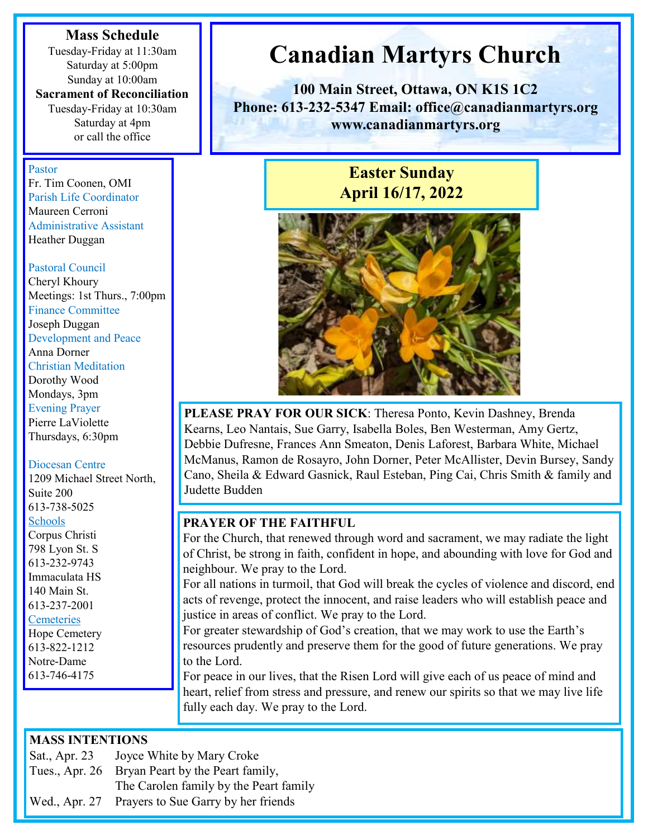#### **Mass Schedule**

Tuesday-Friday at 11:30am Saturday at 5:00pm Sunday at 10:00am

**Sacrament of Reconciliation**  Tuesday-Friday at 10:30am Saturday at 4pm or call the office

#### Pastor

Fr. Tim Coonen, OMI Parish Life Coordinator Maureen Cerroni Administrative Assistant Heather Duggan

#### Pastoral Council

Cheryl Khoury Meetings: 1st Thurs., 7:00pm Finance Committee Joseph Duggan Development and Peace Anna Dorner Christian Meditation Dorothy Wood Mondays, 3pm Evening Prayer Pierre LaViolette Thursdays, 6:30pm

#### Diocesan Centre

1209 Michael Street North, Suite 200 613-738-5025 Schools Corpus Christi 798 Lyon St. S 613-232-9743 Immaculata HS 140 Main St. 613-237-2001 **Cemeteries** 

Hope Cemetery 613-822-1212

Notre-Dame 613-746-4175

# **Canadian Martyrs Church**

**100 Main Street, Ottawa, ON K1S 1C2 Phone: 613-232-5347 Email: office@canadianmartyrs.org www.canadianmartyrs.org**

# **Easter Sunday April 16/17, 2022**



**PLEASE PRAY FOR OUR SICK**: Theresa Ponto, Kevin Dashney, Brenda Kearns, Leo Nantais, Sue Garry, Isabella Boles, Ben Westerman, Amy Gertz, Debbie Dufresne, Frances Ann Smeaton, Denis Laforest, Barbara White, Michael McManus, Ramon de Rosayro, John Dorner, Peter McAllister, Devin Bursey, Sandy Cano, Sheila & Edward Gasnick, Raul Esteban, Ping Cai, Chris Smith & family and Judette Budden

#### **PRAYER OF THE FAITHFUL**

For the Church, that renewed through word and sacrament, we may radiate the light of Christ, be strong in faith, confident in hope, and abounding with love for God and neighbour. We pray to the Lord.

For all nations in turmoil, that God will break the cycles of violence and discord, end acts of revenge, protect the innocent, and raise leaders who will establish peace and justice in areas of conflict. We pray to the Lord.

For greater stewardship of God's creation, that we may work to use the Earth's resources prudently and preserve them for the good of future generations. We pray to the Lord.

For peace in our lives, that the Risen Lord will give each of us peace of mind and heart, relief from stress and pressure, and renew our spirits so that we may live life fully each day. We pray to the Lord.

#### **MASS INTENTIONS**

| Sat., Apr. 23 | Joyce White by Mary Croke                       |
|---------------|-------------------------------------------------|
|               | Tues., Apr. 26 Bryan Peart by the Peart family, |
|               | The Carolen family by the Peart family          |
|               |                                                 |

Wed., Apr. 27 Prayers to Sue Garry by her friends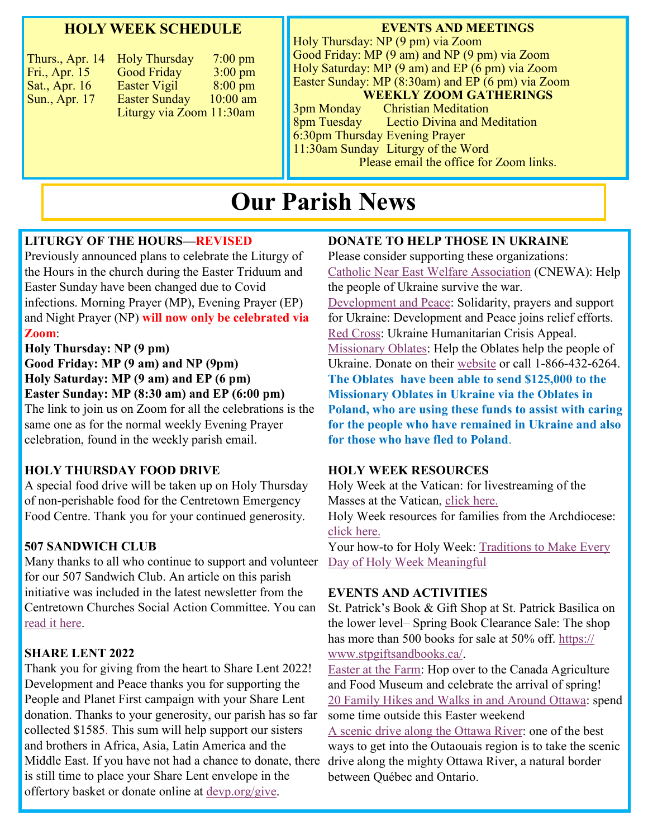### **HOLY WEEK SCHEDULE**

| Thurs., Apr. 14 | <b>Holy Thursday</b>     | $7:00 \text{ pm}$ |
|-----------------|--------------------------|-------------------|
| Fri., Apr. 15   | <b>Good Friday</b>       | $3:00 \text{ pm}$ |
| Sat., Apr. 16   | Easter Vigil             | $8:00 \text{ pm}$ |
| Sun., Apr. 17   | <b>Easter Sunday</b>     | $10:00$ am        |
|                 | Liturgy via Zoom 11:30am |                   |
|                 |                          |                   |

#### **EVENTS AND MEETINGS**

Holy Thursday: NP (9 pm) via Zoom Good Friday: MP (9 am) and NP (9 pm) via Zoom Holy Saturday: MP (9 am) and EP (6 pm) via Zoom Easter Sunday: MP (8:30am) and EP (6 pm) via Zoom **WEEKLY ZOOM GATHERINGS**

3pm Monday Christian Meditation 8pm Tuesday Lectio Divina and Meditation 6:30pm Thursday Evening Prayer 11:30am Sunday Liturgy of the Word Please email the office for Zoom links.

# **Our Parish News**

#### **LITURGY OF THE HOURS—REVISED**

Previously announced plans to celebrate the Liturgy of the Hours in the church during the Easter Triduum and Easter Sunday have been changed due to Covid infections. Morning Prayer (MP), Evening Prayer (EP) and Night Prayer (NP) **will now only be celebrated via Zoom**:

#### **Holy Thursday: NP (9 pm)**

**Good Friday: MP (9 am) and NP (9pm) Holy Saturday: MP (9 am) and EP (6 pm) Easter Sunday: MP (8:30 am) and EP (6:00 pm)** The link to join us on Zoom for all the celebrations is the

same one as for the normal weekly Evening Prayer celebration, found in the weekly parish email.

#### **HOLY THURSDAY FOOD DRIVE**

A special food drive will be taken up on Holy Thursday of non-perishable food for the Centretown Emergency Food Centre. Thank you for your continued generosity.

#### **507 SANDWICH CLUB**

Many thanks to all who continue to support and volunteer for our 507 Sandwich Club. An article on this parish initiative was included in the latest newsletter from the Centretown Churches Social Action Committee. You can [read it here.](https://canadianmartyrs.org/happenings/)

#### **SHARE LENT 2022**

Thank you for giving from the heart to Share Lent 2022! Development and Peace thanks you for supporting the People and Planet First campaign with your Share Lent donation. Thanks to your generosity, our parish has so far collected \$1585. This sum will help support our sisters and brothers in Africa, Asia, Latin America and the Middle East. If you have not had a chance to donate, there is still time to place your Share Lent envelope in the offertory basket or donate online at [devp.org/give.](https://www2.devp.org/en/civicrm/contribute/transact?reset=1&id=3&gl=2y0x0)

#### **DONATE TO HELP THOSE IN UKRAINE**

Please consider supporting these organizations: [Catholic Near East Welfare Association](https://cnewa.org/ca/campaigns/ukraine/) (CNEWA): Help the people of Ukraine survive the war. [Development and Peace:](https://www2.devp.org/en/civicrm/contribute/transact?reset=1&id=3&gl=24360) Solidarity, prayers and support for Ukraine: Development and Peace joins relief efforts. [Red Cross:](https://www.redcross.ca/about-us/media-news/news-releases/red-cross-launches-ukraine-humanitarian-crisis-appeal) Ukraine Humanitarian Crisis Appeal. [Missionary Oblates:](http://www.omilacombe.ca/mami/donations) Help the Oblates help the people of Ukraine. Donate on their [website](http://www.omilacombe.ca/mami/donations) or call 1-866-432-6264. **The Oblates have been able to send \$125,000 to the Missionary Oblates in Ukraine via the Oblates in Poland, who are using these funds to assist with caring for the people who have remained in Ukraine and also for those who have fled to Poland**.

#### **HOLY WEEK RESOURCES**

Holy Week at the Vatican: for livestreaming of the Masses at the Vatican, [click here.](https://www.vatican.va/content/vatican/en/special/2022/settimanasanta2022.html) Holy Week resources for families from the Archdiocese:

[click here.](https://canadianmartyrs.org/happenings/) 

Your how-to for Holy Week: Traditions to Make Every [Day of Holy Week Meaningful](https://www.churchpop.com/2022/04/09/how-to-holy-week-traditions-to-make-every-day-of-holy-week-meaningful/)

#### **EVENTS AND ACTIVITIES**

St. Patrick's Book & Gift Shop at St. Patrick Basilica on the lower level– Spring Book Clearance Sale: The shop has more than 500 books for sale at 50% off. [https://](https://www.stpgiftsandbooks.ca/) [www.stpgiftsandbooks.ca/.](https://www.stpgiftsandbooks.ca/)

[Easter at the Farm:](https://ingeniumcanada.org/agriculture/events/easter-at-the-farm) Hop over to the Canada Agriculture and Food Museum and celebrate the arrival of spring! [20 Family Hikes and Walks in and Around Ottawa:](https://www.todocanada.ca/20-family-hikes-and-walks-in-and-around-ottawa/) spend some time outside this Easter weekend

[A scenic drive along the Ottawa River:](https://www.tourismeoutaouais.com/en/blogue/tour-quebec-travelogue/?utm_source=Ottawa+Road+Trips+Newsletter&utm_campaign=378d26850d-EMAIL_CAMPAIGN_2022_03_31_05_24&utm_medium=email&utm_term=0_4d8eac1894-378d26850d-269227572) one of the best ways to get into the Outaouais region is to take the scenic drive along the mighty Ottawa River, a natural border between Québec and Ontario.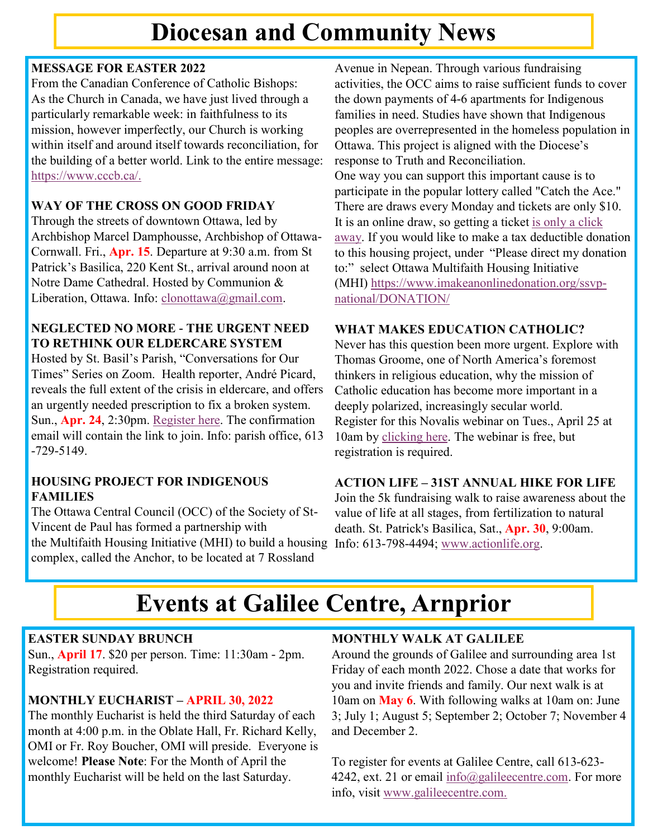# **Diocesan and Community News**

# **MESSAGE FOR EASTER 2022**

From the Canadian Conference of Catholic Bishops: As the Church in Canada, we have just lived through a particularly remarkable week: in faithfulness to its mission, however imperfectly, our Church is working within itself and around itself towards reconciliation, for the building of a better world. Link to the entire message: [https://www.cccb.ca/.](https://www.cccb.ca/)

### **WAY OF THE CROSS ON GOOD FRIDAY**

Through the streets of downtown Ottawa, led by Archbishop Marcel Damphousse, Archbishop of Ottawa-Cornwall. Fri., **Apr. 15**. Departure at 9:30 a.m. from St Patrick's Basilica, 220 Kent St., arrival around noon at Notre Dame Cathedral. Hosted by Communion & Liberation, Ottawa. Info: [clonottawa@gmail.com.](mailto:clonottawa@gmail.com)

# **NEGLECTED NO MORE - THE URGENT NEED TO RETHINK OUR ELDERCARE SYSTEM**

Hosted by St. Basil's Parish, "Conversations for Our Times" Series on Zoom. Health reporter, André Picard, reveals the full extent of the crisis in eldercare, and offers an urgently needed prescription to fix a broken system. Sun., **Apr. 24**, 2:30pm. [Register here.](https://us02web.zoom.us/meeting/register/tZEvcOioqTMpHdaLzIIFvJ0WOxElmeuLTFzm) The confirmation email will contain the link to join. Info: parish office, 613 -729-5149.

### **HOUSING PROJECT FOR INDIGENOUS FAMILIES**

The Ottawa Central Council (OCC) of the Society of St-Vincent de Paul has formed a partnership with the Multifaith Housing Initiative (MHI) to build a housing Info: 613-798-4494; [www.actionlife.org.](http://www.actionlife.org) complex, called the Anchor, to be located at 7 Rossland

Avenue in Nepean. Through various fundraising activities, the OCC aims to raise sufficient funds to cover the down payments of 4-6 apartments for Indigenous families in need. Studies have shown that Indigenous peoples are overrepresented in the homeless population in Ottawa. This project is aligned with the Diocese's response to Truth and Reconciliation. One way you can support this important cause is to participate in the popular lottery called "Catch the Ace." There are draws every Monday and tickets are only \$10. It is an online draw, so getting a ticket [is only a click](https://ssvpottawa.ca/cta/)  [away.](https://ssvpottawa.ca/cta/) If you would like to make a tax deductible donation to this housing project, under "Please direct my donation to:" select Ottawa Multifaith Housing Initiative

(MHI) [https://www.imakeanonlinedonation.org/ssvp](https://www.imakeanonlinedonation.org/ssvp-national/DONATION/)[national/DONATION/](https://www.imakeanonlinedonation.org/ssvp-national/DONATION/)

# **WHAT MAKES EDUCATION CATHOLIC?**

Never has this question been more urgent. Explore with Thomas Groome, one of North America's foremost thinkers in religious education, why the mission of Catholic education has become more important in a deeply polarized, increasingly secular world. Register for this Novalis webinar on Tues., April 25 at 10am by [clicking here.](https://us02web.zoom.us/webinar/register/) The webinar is free, but registration is required.

# **ACTION LIFE – 31ST ANNUAL HIKE FOR LIFE**

Join the 5k fundraising walk to raise awareness about the value of life at all stages, from fertilization to natural death. St. Patrick's Basilica, Sat., **Apr. 30**, 9:00am.

# **Events at Galilee Centre, Arnprior**

# **EASTER SUNDAY BRUNCH**

Sun., **April 17**. \$20 per person. Time: 11:30am - 2pm. Registration required.

# **MONTHLY EUCHARIST – APRIL 30, 2022**

The monthly Eucharist is held the third Saturday of each month at 4:00 p.m. in the Oblate Hall, Fr. Richard Kelly, OMI or Fr. Roy Boucher, OMI will preside. Everyone is welcome! **Please Note**: For the Month of April the monthly Eucharist will be held on the last Saturday.

# **MONTHLY WALK AT GALILEE**

Around the grounds of Galilee and surrounding area 1st Friday of each month 2022. Chose a date that works for you and invite friends and family. Our next walk is at 10am on **May 6**. With following walks at 10am on: June 3; July 1; August 5; September 2; October 7; November 4 and December 2.

To register for events at Galilee Centre, call 613-623 4242, ext. 21 or email [info@galileecentre.com.](mailto:info@galileecentre.com) For more info, visit [www.galileecentre.com.](https://www.galileecentre.com/)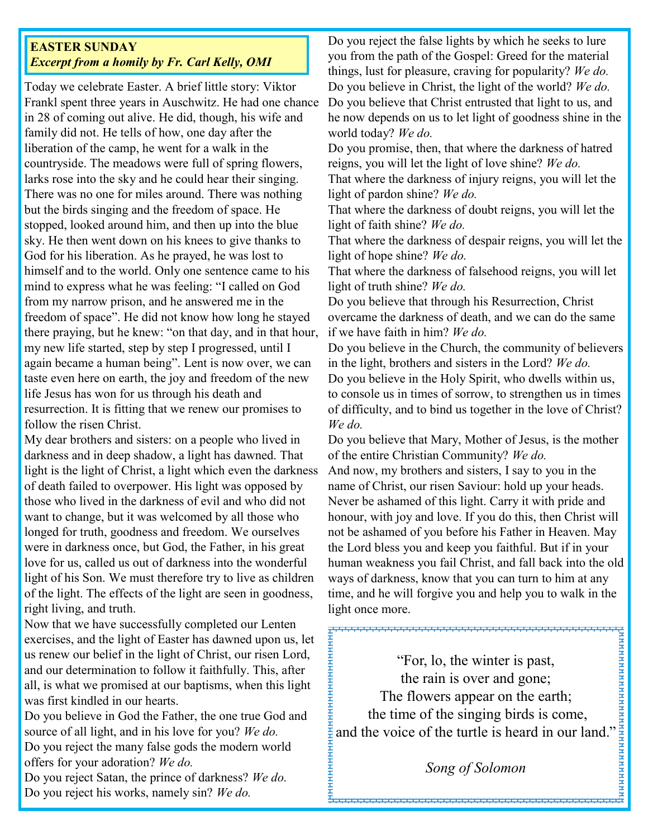### **EASTER SUNDAY** *Excerpt from a homily by Fr. Carl Kelly, OMI*

Today we celebrate Easter. A brief little story: Viktor Frankl spent three years in Auschwitz. He had one chance in 28 of coming out alive. He did, though, his wife and family did not. He tells of how, one day after the liberation of the camp, he went for a walk in the countryside. The meadows were full of spring flowers, larks rose into the sky and he could hear their singing. There was no one for miles around. There was nothing but the birds singing and the freedom of space. He stopped, looked around him, and then up into the blue sky. He then went down on his knees to give thanks to God for his liberation. As he prayed, he was lost to himself and to the world. Only one sentence came to his mind to express what he was feeling: "I called on God from my narrow prison, and he answered me in the freedom of space". He did not know how long he stayed there praying, but he knew: "on that day, and in that hour, my new life started, step by step I progressed, until I again became a human being". Lent is now over, we can taste even here on earth, the joy and freedom of the new life Jesus has won for us through his death and resurrection. It is fitting that we renew our promises to follow the risen Christ.

My dear brothers and sisters: on a people who lived in darkness and in deep shadow, a light has dawned. That light is the light of Christ, a light which even the darkness of death failed to overpower. His light was opposed by those who lived in the darkness of evil and who did not want to change, but it was welcomed by all those who longed for truth, goodness and freedom. We ourselves were in darkness once, but God, the Father, in his great love for us, called us out of darkness into the wonderful light of his Son. We must therefore try to live as children of the light. The effects of the light are seen in goodness, right living, and truth.

Now that we have successfully completed our Lenten exercises, and the light of Easter has dawned upon us, let us renew our belief in the light of Christ, our risen Lord, and our determination to follow it faithfully. This, after all, is what we promised at our baptisms, when this light was first kindled in our hearts.

Do you believe in God the Father, the one true God and source of all light, and in his love for you? *We do.* Do you reject the many false gods the modern world offers for your adoration? *We do.*

Do you reject Satan, the prince of darkness? *We do.* Do you reject his works, namely sin? *We do.*

Do you reject the false lights by which he seeks to lure you from the path of the Gospel: Greed for the material things, lust for pleasure, craving for popularity? *We do.* Do you believe in Christ, the light of the world? *We do.* Do you believe that Christ entrusted that light to us, and he now depends on us to let light of goodness shine in the world today? *We do.*

Do you promise, then, that where the darkness of hatred reigns, you will let the light of love shine? *We do.*

That where the darkness of injury reigns, you will let the light of pardon shine? *We do.*

That where the darkness of doubt reigns, you will let the light of faith shine? *We do.*

That where the darkness of despair reigns, you will let the light of hope shine? *We do.*

That where the darkness of falsehood reigns, you will let light of truth shine? *We do.*

Do you believe that through his Resurrection, Christ overcame the darkness of death, and we can do the same if we have faith in him? *We do.*

Do you believe in the Church, the community of believers in the light, brothers and sisters in the Lord? *We do.*

Do you believe in the Holy Spirit, who dwells within us, to console us in times of sorrow, to strengthen us in times of difficulty, and to bind us together in the love of Christ? *We do.*

Do you believe that Mary, Mother of Jesus, is the mother of the entire Christian Community? *We do.*

And now, my brothers and sisters, I say to you in the name of Christ, our risen Saviour: hold up your heads. Never be ashamed of this light. Carry it with pride and honour, with joy and love. If you do this, then Christ will not be ashamed of you before his Father in Heaven. May the Lord bless you and keep you faithful. But if in your human weakness you fail Christ, and fall back into the old ways of darkness, know that you can turn to him at any time, and he will forgive you and help you to walk in the light once more.

and the voice of the turtle is heard in our land." 1 "For, lo, the winter is past, the rain is over and gone; The flowers appear on the earth; the time of the singing birds is come,

*Song of Solomon*

ренениянн**е**